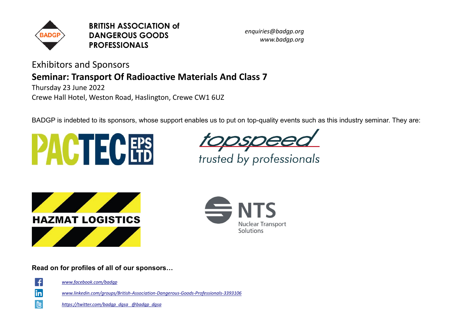

**BRITISH ASSOCIATION of DANGEROUS GOODS PROFESSIONALS**

*enquiries@badgp.org www.badgp.org*

Exhibitors and Sponsors

## **Seminar: Transport Of Radioactive Materials And Class 7**

Thursday 23 June 2022 Crewe Hall Hotel, Weston Road, Haslington, Crewe CW1 6UZ

BADGP is indebted to its sponsors, whose support enables us to put on top-quality events such as this industry seminar. They are:









**Read on for profiles of all of our sponsors…**



 $\blacksquare$ 

*www.facebook.com/badgp*

*www.linkedin.com/groups/British-Association-Dangerous-Goods-Professionals-3393106*

*https://twitter.com/badgp\_dgsa @badgp\_dgsa*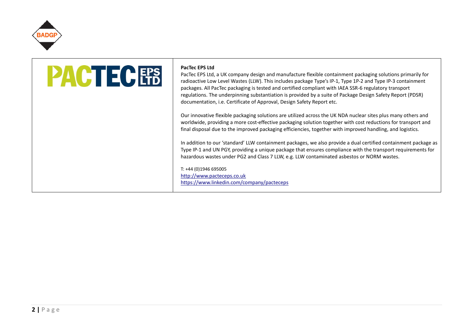

# **PACTECEPS**

#### **PacTec EPS Ltd**

PacTec EPS Ltd, a UK company design and manufacture flexible containment packaging solutions primarily for radioactive Low Level Wastes (LLW). This includes package Type's IP-1, Type 1P-2 and Type IP-3 containment packages. All PacTec packaging is tested and certified compliant with IAEA SSR-6 regulatory transport regulations. The underpinning substantiation is provided by a suite of Package Design Safety Report (PDSR) documentation, i.e. Certificate of Approval, Design Safety Report etc.

Our innovative flexible packaging solutions are utilized across the UK NDA nuclear sites plus many others and worldwide, providing a more cost-effective packaging solution together with cost reductions for transport and final disposal due to the improved packaging efficiencies, together with improved handling, and logistics.

In addition to our 'standard' LLW containment packages, we also provide a dual certified containment package as Type IP-1 and UN PGY, providing a unique package that ensures compliance with the transport requirements for hazardous wastes under PG2 and Class 7 LLW, e.g. LLW contaminated asbestos or NORM wastes.

T: +44 (0)1946 695005 [http://www.pacteceps.co.uk](http://www.pacteceps.co.uk/) <https://www.linkedin.com/company/pacteceps>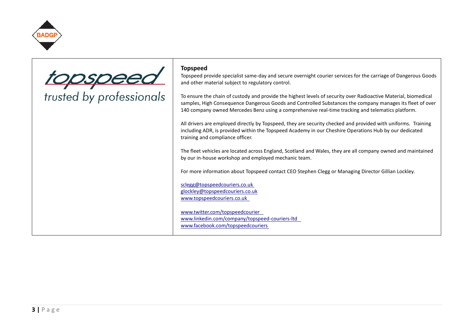

topspeed<br>trusted by professionals

### **Topspeed**

Topspeed provide specialist same-day and secure overnight courier services for the carriage of Dangerous Goods and other material subject to regulatory control.

To ensure the chain of custody and provide the highest levels of security over Radioactive Material, biomedical samples, High Consequence Dangerous Goods and Controlled Substances the company manages its fleet of over 140 company owned Mercedes Benz using a comprehensive real-time tracking and telematics platform.

All drivers are employed directly by Topspeed, they are security checked and provided with uniforms. Training including ADR, is provided within the Topspeed Academy in our Cheshire Operations Hub by our dedicated training and compliance officer.

The fleet vehicles are located across England, Scotland and Wales, they are all company owned and maintained by our in-house workshop and employed mechanic team.

For more information about Topspeed contact CEO Stephen Clegg or Managing Director Gillian Lockley.

[sclegg@topspeedcouriers.co.uk](mailto:sclegg@topspeedcouriers.co.uk) [glockley@topspeedcouriers.co.uk](mailto:glockley@topspeedcouriers.co.uk) [www.topspeedcouriers.co.uk](http://www.topspeedcouriers.co.uk/)

[www.twitter.com/topspeedcourier](http://www.twitter.com/topspeedcourier) [www.linkedin.com/company/topspeed-couriers-ltd](http://www.linkedin.com/company/topspeed-couriers-ltd) [www.facebook.com/topspeedcouriers](http://www.facebook.com/topspeedcouriers)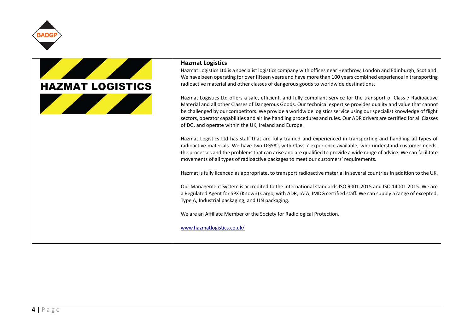



#### **Hazmat Logistics**

Hazmat Logistics Ltd is a specialist logistics company with offices near Heathrow, London and Edinburgh, Scotland. We have been operating for over fifteen years and have more than 100 years combined experience in transporting radioactive material and other classes of dangerous goods to worldwide destinations.

Hazmat Logistics Ltd offers a safe, efficient, and fully compliant service for the transport of Class 7 Radioactive Material and all other Classes of Dangerous Goods. Our technical expertise provides quality and value that cannot be challenged by our competitors. We provide a worldwide logistics service using our specialist knowledge of flight sectors, operator capabilities and airline handling procedures and rules. Our ADR drivers are certified for all Classes of DG, and operate within the UK, Ireland and Europe.

Hazmat Logistics Ltd has staff that are fully trained and experienced in transporting and handling all types of radioactive materials. We have two DGSA's with Class 7 experience available, who understand customer needs, the processes and the problems that can arise and are qualified to provide a wide range of advice. We can facilitate movements of all types of radioactive packages to meet our customers' requirements.

Hazmat is fully licenced as appropriate, to transport radioactive material in several countries in addition to the UK.

Our Management System is accredited to the international standards ISO 9001:2015 and ISO 14001:2015. We are a Regulated Agent for SPX (Known) Cargo, with ADR, IATA, IMDG certified staff. We can supply a range of excepted, Type A, Industrial packaging, and UN packaging.

We are an Affiliate Member of the Society for Radiological Protection.

[www.hazmatlogistics.co.uk/](http://www.hazmatlogistics.co.uk/)